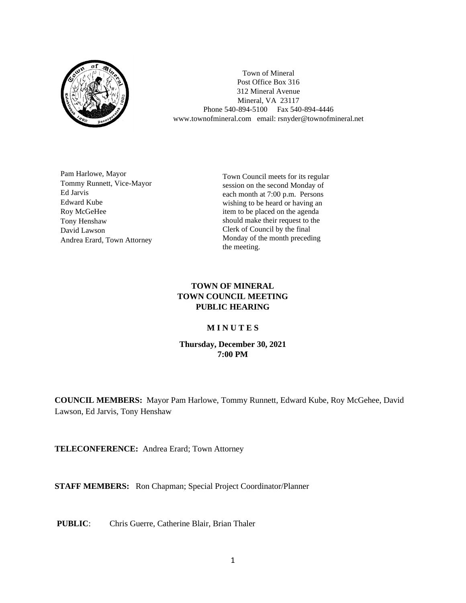

Town of Mineral Post Office Box 316 312 Mineral Avenue Mineral, VA 23117 Phone 540-894-5100 Fax 540-894-4446 www.townofmineral.com email: rsnyder@townofmineral.net

Pam Harlowe, Mayor Tommy Runnett, Vice-Mayor Ed Jarvis Edward Kube Roy McGeHee Tony Henshaw David Lawson Andrea Erard, Town Attorney

Town Council meets for its regular session on the second Monday of each month at 7:00 p.m. Persons wishing to be heard or having an item to be placed on the agenda should make their request to the Clerk of Council by the final Monday of the month preceding the meeting.

## **TOWN OF MINERAL TOWN COUNCIL MEETING PUBLIC HEARING**

## **M I N U T E S**

## **Thursday, December 30, 2021 7:00 PM**

**COUNCIL MEMBERS:** Mayor Pam Harlowe, Tommy Runnett, Edward Kube, Roy McGehee, David Lawson, Ed Jarvis, Tony Henshaw

**TELECONFERENCE:** Andrea Erard; Town Attorney

**STAFF MEMBERS:** Ron Chapman; Special Project Coordinator/Planner

**PUBLIC**: Chris Guerre, Catherine Blair, Brian Thaler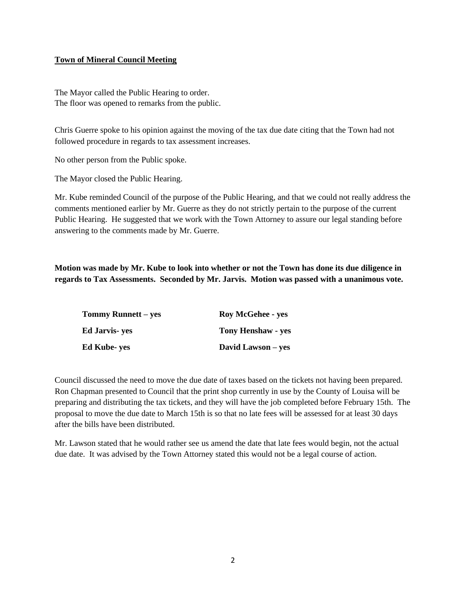## **Town of Mineral Council Meeting**

The Mayor called the Public Hearing to order. The floor was opened to remarks from the public.

Chris Guerre spoke to his opinion against the moving of the tax due date citing that the Town had not followed procedure in regards to tax assessment increases.

No other person from the Public spoke.

The Mayor closed the Public Hearing.

Mr. Kube reminded Council of the purpose of the Public Hearing, and that we could not really address the comments mentioned earlier by Mr. Guerre as they do not strictly pertain to the purpose of the current Public Hearing. He suggested that we work with the Town Attorney to assure our legal standing before answering to the comments made by Mr. Guerre.

**Motion was made by Mr. Kube to look into whether or not the Town has done its due diligence in regards to Tax Assessments. Seconded by Mr. Jarvis. Motion was passed with a unanimous vote.**

| <b>Tommy Runnett – yes</b> | <b>Roy McGehee - yes</b>  |
|----------------------------|---------------------------|
| Ed Jarvis- yes             | <b>Tony Henshaw - yes</b> |
| Ed Kube- yes               | David Lawson – yes        |

Council discussed the need to move the due date of taxes based on the tickets not having been prepared. Ron Chapman presented to Council that the print shop currently in use by the County of Louisa will be preparing and distributing the tax tickets, and they will have the job completed before February 15th. The proposal to move the due date to March 15th is so that no late fees will be assessed for at least 30 days after the bills have been distributed.

Mr. Lawson stated that he would rather see us amend the date that late fees would begin, not the actual due date. It was advised by the Town Attorney stated this would not be a legal course of action.